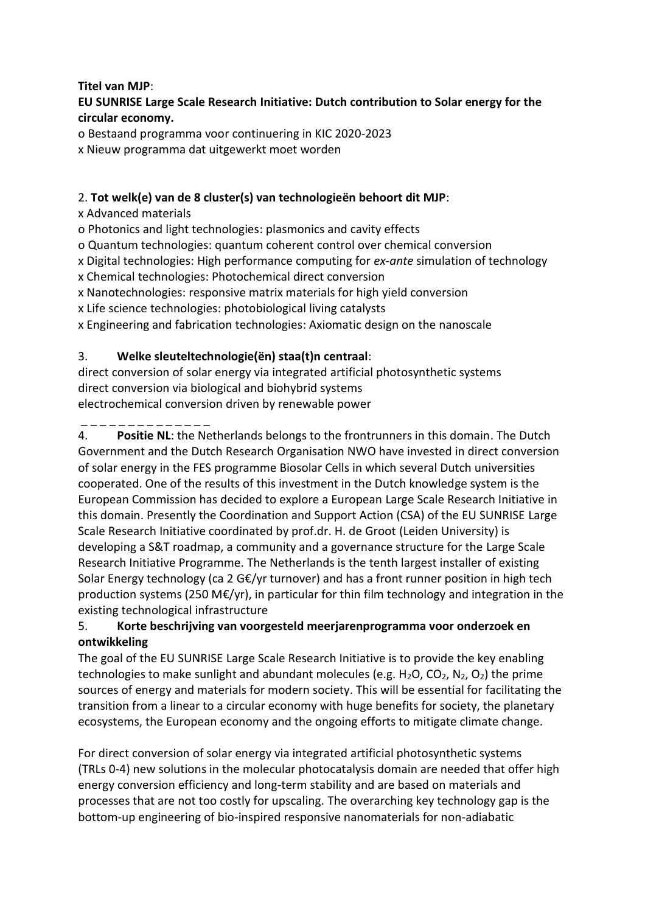### **Titel van MJP**:

# **EU SUNRISE Large Scale Research Initiative: Dutch contribution to Solar energy for the circular economy.**

o Bestaand programma voor continuering in KIC 2020-2023

x Nieuw programma dat uitgewerkt moet worden

# 2. **Tot welk(e) van de 8 cluster(s) van technologieën behoort dit MJP**:

x Advanced materials

o Photonics and light technologies: plasmonics and cavity effects

o Quantum technologies: quantum coherent control over chemical conversion

x Digital technologies: High performance computing for *ex-ante* simulation of technology

x Chemical technologies: Photochemical direct conversion

x Nanotechnologies: responsive matrix materials for high yield conversion

x Life science technologies: photobiological living catalysts

x Engineering and fabrication technologies: Axiomatic design on the nanoscale

# 3. **Welke sleuteltechnologie(ën) staa(t)n centraal**:

direct conversion of solar energy via integrated artificial photosynthetic systems direct conversion via biological and biohybrid systems electrochemical conversion driven by renewable power

\_ \_ \_ \_ \_ \_ \_ \_ \_ \_ \_ \_ \_ \_

4. **Positie NL**: the Netherlands belongs to the frontrunners in this domain. The Dutch Government and the Dutch Research Organisation NWO have invested in direct conversion of solar energy in the FES programme Biosolar Cells in which several Dutch universities cooperated. One of the results of this investment in the Dutch knowledge system is the European Commission has decided to explore a European Large Scale Research Initiative in this domain. Presently the Coordination and Support Action (CSA) of the EU SUNRISE Large Scale Research Initiative coordinated by prof.dr. H. de Groot (Leiden University) is developing a S&T roadmap, a community and a governance structure for the Large Scale Research Initiative Programme. The Netherlands is the tenth largest installer of existing Solar Energy technology (ca 2 G€/yr turnover) and has a front runner position in high tech production systems (250 M $\epsilon$ /yr), in particular for thin film technology and integration in the existing technological infrastructure

# 5. **Korte beschrijving van voorgesteld meerjarenprogramma voor onderzoek en ontwikkeling**

The goal of the EU SUNRISE Large Scale Research Initiative is to provide the key enabling technologies to make sunlight and abundant molecules (e.g.  $H_2O$ ,  $CO_2$ ,  $N_2$ ,  $O_2$ ) the prime sources of energy and materials for modern society. This will be essential for facilitating the transition from a linear to a circular economy with huge benefits for society, the planetary ecosystems, the European economy and the ongoing efforts to mitigate climate change.

For direct conversion of solar energy via integrated artificial photosynthetic systems (TRLs 0-4) new solutions in the molecular photocatalysis domain are needed that offer high energy conversion efficiency and long-term stability and are based on materials and processes that are not too costly for upscaling. The overarching key technology gap is the bottom-up engineering of bio-inspired responsive nanomaterials for non-adiabatic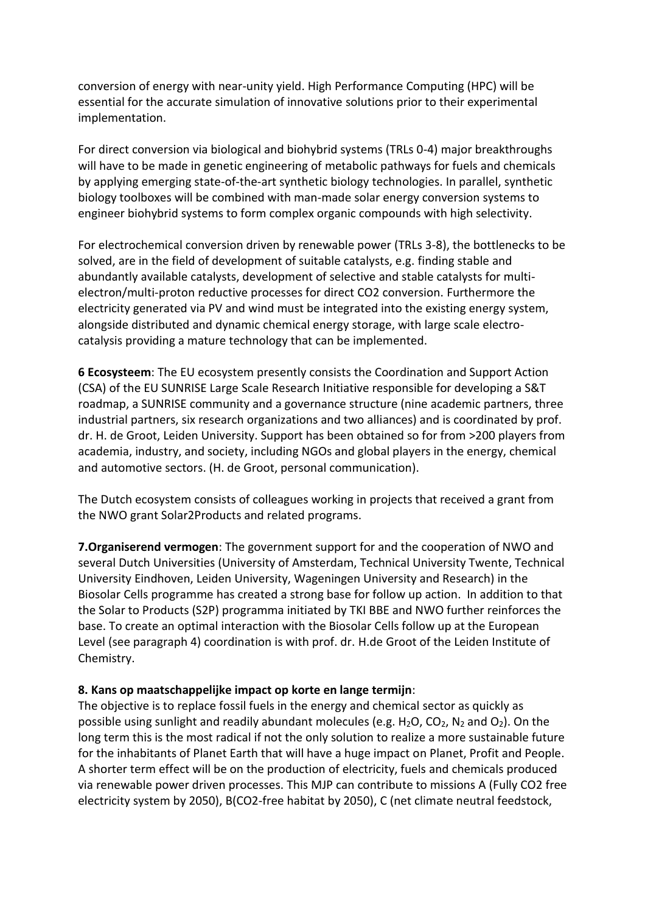conversion of energy with near-unity yield. High Performance Computing (HPC) will be essential for the accurate simulation of innovative solutions prior to their experimental implementation.

For direct conversion via biological and biohybrid systems (TRLs 0-4) major breakthroughs will have to be made in genetic engineering of metabolic pathways for fuels and chemicals by applying emerging state-of-the-art synthetic biology technologies. In parallel, synthetic biology toolboxes will be combined with man-made solar energy conversion systems to engineer biohybrid systems to form complex organic compounds with high selectivity.

For electrochemical conversion driven by renewable power (TRLs 3-8), the bottlenecks to be solved, are in the field of development of suitable catalysts, e.g. finding stable and abundantly available catalysts, development of selective and stable catalysts for multielectron/multi-proton reductive processes for direct CO2 conversion. Furthermore the electricity generated via PV and wind must be integrated into the existing energy system, alongside distributed and dynamic chemical energy storage, with large scale electrocatalysis providing a mature technology that can be implemented.

**6 Ecosysteem**: The EU ecosystem presently consists the Coordination and Support Action (CSA) of the EU SUNRISE Large Scale Research Initiative responsible for developing a S&T roadmap, a SUNRISE community and a governance structure (nine academic partners, three industrial partners, six research organizations and two alliances) and is coordinated by prof. dr. H. de Groot, Leiden University. Support has been obtained so for from >200 players from academia, industry, and society, including NGOs and global players in the energy, chemical and automotive sectors. (H. de Groot, personal communication).

The Dutch ecosystem consists of colleagues working in projects that received a grant from the NWO grant Solar2Products and related programs.

**7.Organiserend vermogen**: The government support for and the cooperation of NWO and several Dutch Universities (University of Amsterdam, Technical University Twente, Technical University Eindhoven, Leiden University, Wageningen University and Research) in the Biosolar Cells programme has created a strong base for follow up action. In addition to that the Solar to Products (S2P) programma initiated by TKI BBE and NWO further reinforces the base. To create an optimal interaction with the Biosolar Cells follow up at the European Level (see paragraph 4) coordination is with prof. dr. H.de Groot of the Leiden Institute of Chemistry.

### **8. Kans op maatschappelijke impact op korte en lange termijn**:

The objective is to replace fossil fuels in the energy and chemical sector as quickly as possible using sunlight and readily abundant molecules (e.g. H<sub>2</sub>O, CO<sub>2</sub>, N<sub>2</sub> and O<sub>2</sub>). On the long term this is the most radical if not the only solution to realize a more sustainable future for the inhabitants of Planet Earth that will have a huge impact on Planet, Profit and People. A shorter term effect will be on the production of electricity, fuels and chemicals produced via renewable power driven processes. This MJP can contribute to missions A (Fully CO2 free electricity system by 2050), B(CO2-free habitat by 2050), C (net climate neutral feedstock,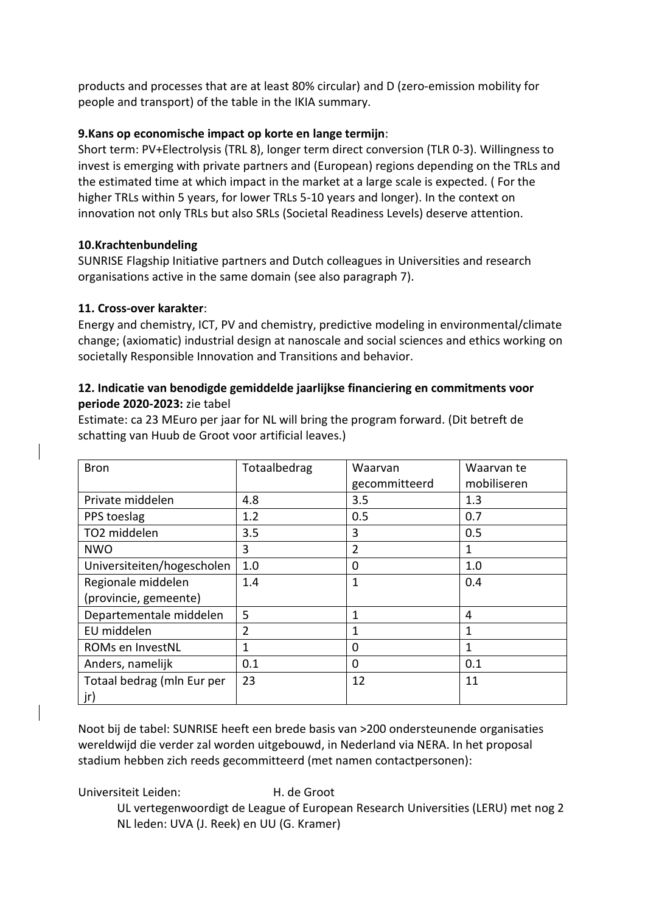products and processes that are at least 80% circular) and D (zero-emission mobility for people and transport) of the table in the IKIA summary.

### **9.Kans op economische impact op korte en lange termijn**:

Short term: PV+Electrolysis (TRL 8), longer term direct conversion (TLR 0-3). Willingness to invest is emerging with private partners and (European) regions depending on the TRLs and the estimated time at which impact in the market at a large scale is expected. ( For the higher TRLs within 5 years, for lower TRLs 5-10 years and longer). In the context on innovation not only TRLs but also SRLs (Societal Readiness Levels) deserve attention.

## **10.Krachtenbundeling**

SUNRISE Flagship Initiative partners and Dutch colleagues in Universities and research organisations active in the same domain (see also paragraph 7).

## **11. Cross-over karakter**:

Energy and chemistry, ICT, PV and chemistry, predictive modeling in environmental/climate change; (axiomatic) industrial design at nanoscale and social sciences and ethics working on societally Responsible Innovation and Transitions and behavior.

### **12. Indicatie van benodigde gemiddelde jaarlijkse financiering en commitments voor periode 2020-2023:** zie tabel

Estimate: ca 23 MEuro per jaar for NL will bring the program forward. (Dit betreft de schatting van Huub de Groot voor artificial leaves.)

| <b>Bron</b>                | Totaalbedrag   | Waarvan<br>gecommitteerd | Waarvan te<br>mobiliseren |
|----------------------------|----------------|--------------------------|---------------------------|
| Private middelen           | 4.8            | 3.5                      | 1.3                       |
| PPS toeslag                | 1.2            | 0.5                      | 0.7                       |
| TO2 middelen               | 3.5            | 3                        | 0.5                       |
| <b>NWO</b>                 | 3              | $\overline{2}$           | 1                         |
| Universiteiten/hogescholen | 1.0            | 0                        | 1.0                       |
| Regionale middelen         | 1.4            | $\mathbf{1}$             | 0.4                       |
| (provincie, gemeente)      |                |                          |                           |
| Departementale middelen    | 5              | 1                        | 4                         |
| EU middelen                | $\overline{2}$ | $\mathbf 1$              | 1                         |
| ROMs en InvestNL           | 1              | 0                        | 1                         |
| Anders, namelijk           | 0.1            | $\Omega$                 | 0.1                       |
| Totaal bedrag (mln Eur per | 23             | 12                       | 11                        |
| jr)                        |                |                          |                           |

Noot bij de tabel: SUNRISE heeft een brede basis van >200 ondersteunende organisaties wereldwijd die verder zal worden uitgebouwd, in Nederland via NERA. In het proposal stadium hebben zich reeds gecommitteerd (met namen contactpersonen):

Universiteit Leiden: H. de Groot

UL vertegenwoordigt de League of European Research Universities (LERU) met nog 2 NL leden: UVA (J. Reek) en UU (G. Kramer)